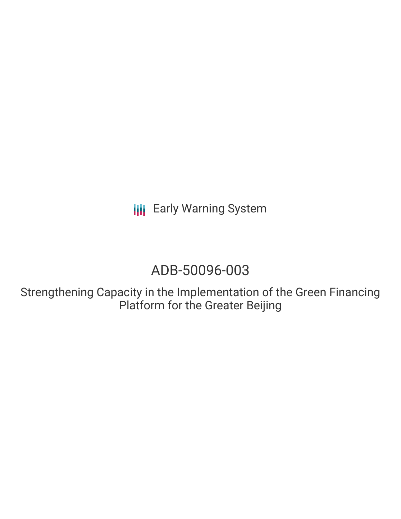**III** Early Warning System

# ADB-50096-003

Strengthening Capacity in the Implementation of the Green Financing Platform for the Greater Beijing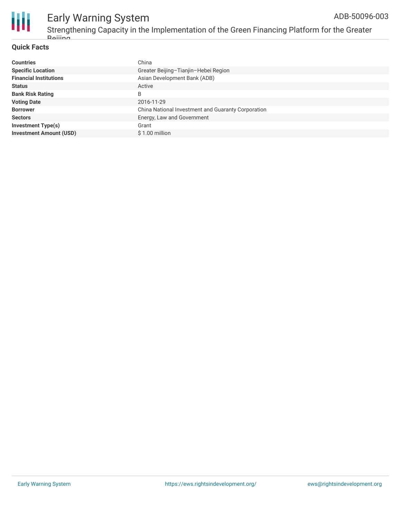

#### Early Warning System Strengthening Capacity in the Implementation of the Green Financing Platform for the Greater **Raiiing** ADB-50096-003

### **Quick Facts**

| <b>Countries</b>               | China                                              |
|--------------------------------|----------------------------------------------------|
| <b>Specific Location</b>       | Greater Beijing-Tianjin-Hebei Region               |
| <b>Financial Institutions</b>  | Asian Development Bank (ADB)                       |
| <b>Status</b>                  | Active                                             |
| <b>Bank Risk Rating</b>        | B                                                  |
| <b>Voting Date</b>             | 2016-11-29                                         |
| <b>Borrower</b>                | China National Investment and Guaranty Corporation |
| <b>Sectors</b>                 | Energy, Law and Government                         |
| <b>Investment Type(s)</b>      | Grant                                              |
| <b>Investment Amount (USD)</b> | \$1.00 million                                     |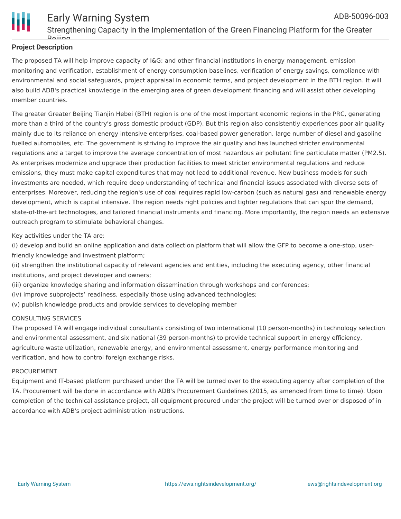

# **Project Description**

The proposed TA will help improve capacity of I&G; and other financial institutions in energy management, emission monitoring and verification, establishment of energy consumption baselines, verification of energy savings, compliance with environmental and social safeguards, project appraisal in economic terms, and project development in the BTH region. It will also build ADB's practical knowledge in the emerging area of green development financing and will assist other developing member countries.

The greater Greater Beijing Tianjin Hebei (BTH) region is one of the most important economic regions in the PRC, generating more than a third of the country's gross domestic product (GDP). But this region also consistently experiences poor air quality mainly due to its reliance on energy intensive enterprises, coal-based power generation, large number of diesel and gasoline fuelled automobiles, etc. The government is striving to improve the air quality and has launched stricter environmental regulations and a target to improve the average concentration of most hazardous air pollutant fine particulate matter (PM2.5). As enterprises modernize and upgrade their production facilities to meet stricter environmental regulations and reduce emissions, they must make capital expenditures that may not lead to additional revenue. New business models for such investments are needed, which require deep understanding of technical and financial issues associated with diverse sets of enterprises. Moreover, reducing the region's use of coal requires rapid low-carbon (such as natural gas) and renewable energy development, which is capital intensive. The region needs right policies and tighter regulations that can spur the demand, state-of-the-art technologies, and tailored financial instruments and financing. More importantly, the region needs an extensive outreach program to stimulate behavioral changes.

### Key activities under the TA are:

(i) develop and build an online application and data collection platform that will allow the GFP to become a one-stop, userfriendly knowledge and investment platform;

(ii) strengthen the institutional capacity of relevant agencies and entities, including the executing agency, other financial institutions, and project developer and owners;

(iii) organize knowledge sharing and information dissemination through workshops and conferences;

- (iv) improve subprojects' readiness, especially those using advanced technologies;
- (v) publish knowledge products and provide services to developing member

### CONSULTING SERVICES

The proposed TA will engage individual consultants consisting of two international (10 person-months) in technology selection and environmental assessment, and six national (39 person-months) to provide technical support in energy efficiency, agriculture waste utilization, renewable energy, and environmental assessment, energy performance monitoring and verification, and how to control foreign exchange risks.

### PROCUREMENT

Equipment and IT-based platform purchased under the TA will be turned over to the executing agency after completion of the TA. Procurement will be done in accordance with ADB's Procurement Guidelines (2015, as amended from time to time). Upon completion of the technical assistance project, all equipment procured under the project will be turned over or disposed of in accordance with ADB's project administration instructions.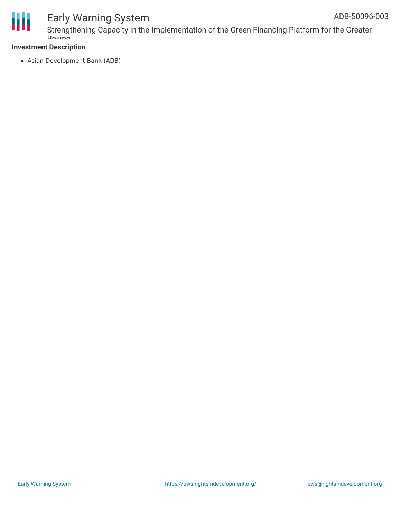

# Early Warning System

# **Investment Description**

Asian Development Bank (ADB)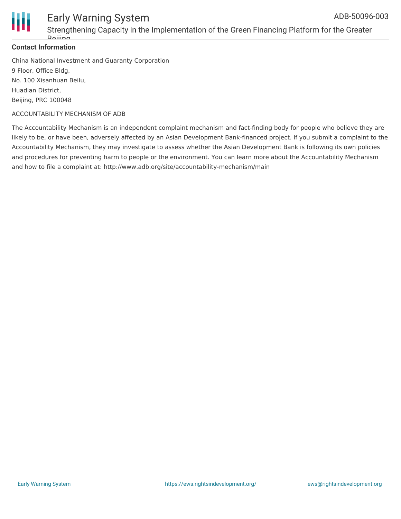

#### Early Warning System Strengthening Capacity in the Implementation of the Green Financing Platform for the Greater Beijing ADB-50096-003

## **Contact Information**

China National Investment and Guaranty Corporation 9 Floor, Office Bldg, No. 100 Xisanhuan Beilu, Huadian District, Beijing, PRC 100048

### ACCOUNTABILITY MECHANISM OF ADB

The Accountability Mechanism is an independent complaint mechanism and fact-finding body for people who believe they are likely to be, or have been, adversely affected by an Asian Development Bank-financed project. If you submit a complaint to the Accountability Mechanism, they may investigate to assess whether the Asian Development Bank is following its own policies and procedures for preventing harm to people or the environment. You can learn more about the Accountability Mechanism and how to file a complaint at: http://www.adb.org/site/accountability-mechanism/main